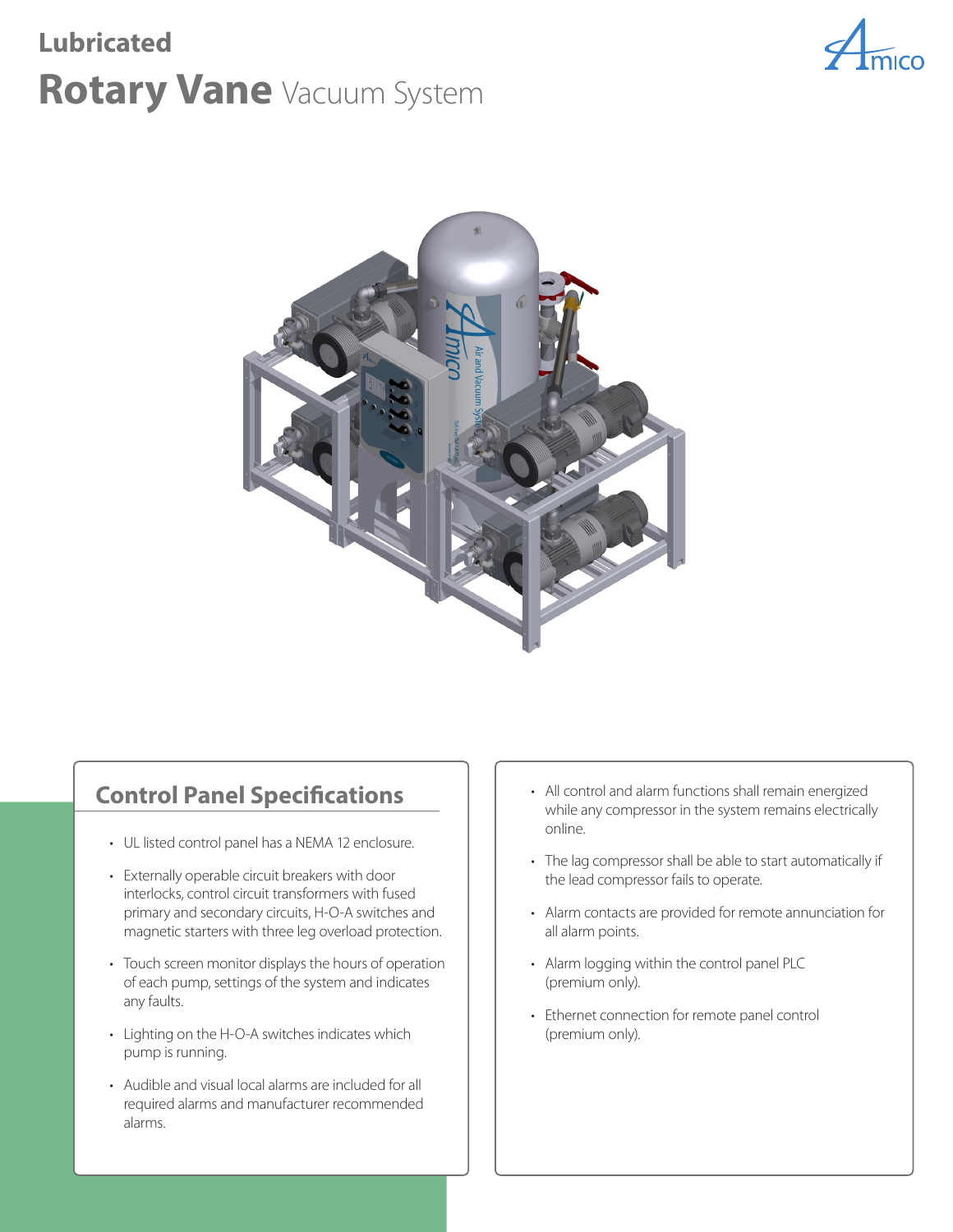# **Rotary Vane** Vacuum System **Lubricated**





# **Control Panel Specifications**

- UL listed control panel has a NEMA 12 enclosure.
- Externally operable circuit breakers with door interlocks, control circuit transformers with fused primary and secondary circuits, H-O-A switches and magnetic starters with three leg overload protection.
- Touch screen monitor displays the hours of operation of each pump, settings of the system and indicates any faults.
- Lighting on the H-O-A switches indicates which pump is running.
- Audible and visual local alarms are included for all required alarms and manufacturer recommended alarms.
- All control and alarm functions shall remain energized while any compressor in the system remains electrically online.
- The lag compressor shall be able to start automatically if the lead compressor fails to operate.
- Alarm contacts are provided for remote annunciation for all alarm points.
- Alarm logging within the control panel PLC (premium only).
- Ethernet connection for remote panel control (premium only).